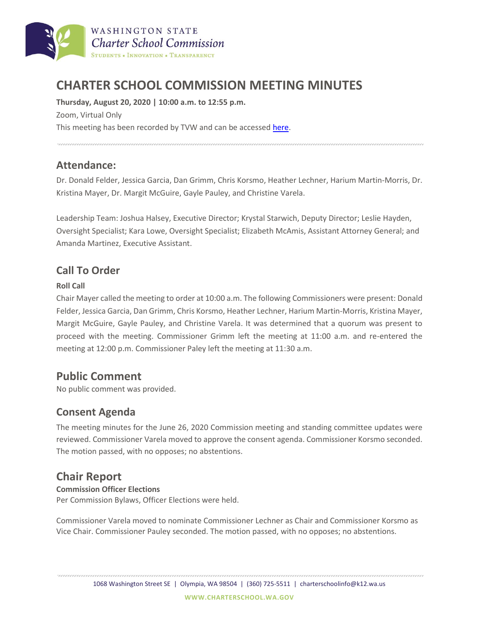

# **CHARTER SCHOOL COMMISSION MEETING MINUTES**

**Thursday, August 20, 2020 | 10:00 a.m. to 12:55 p.m.** Zoom, Virtual Only This meeting has been recorded by TVW and can be accesse[d here.](https://www.tvw.org/watch/?eventID=2020081047)

### **Attendance:**

Dr. Donald Felder, Jessica Garcia, Dan Grimm, Chris Korsmo, Heather Lechner, Harium Martin-Morris, Dr. Kristina Mayer, Dr. Margit McGuire, Gayle Pauley, and Christine Varela.

Leadership Team: Joshua Halsey, Executive Director; Krystal Starwich, Deputy Director; Leslie Hayden, Oversight Specialist; Kara Lowe, Oversight Specialist; Elizabeth McAmis, Assistant Attorney General; and Amanda Martinez, Executive Assistant.

## **Call To Order**

#### **Roll Call**

Chair Mayer called the meeting to order at 10:00 a.m. The following Commissioners were present: Donald Felder, Jessica Garcia, Dan Grimm, Chris Korsmo, Heather Lechner, Harium Martin-Morris, Kristina Mayer, Margit McGuire, Gayle Pauley, and Christine Varela. It was determined that a quorum was present to proceed with the meeting. Commissioner Grimm left the meeting at 11:00 a.m. and re-entered the meeting at 12:00 p.m. Commissioner Paley left the meeting at 11:30 a.m.

# **Public Comment**

No public comment was provided.

### **Consent Agenda**

The meeting minutes for the June 26, 2020 Commission meeting and standing committee updates were reviewed. Commissioner Varela moved to approve the consent agenda. Commissioner Korsmo seconded. The motion passed, with no opposes; no abstentions.

# **Chair Report**

#### **Commission Officer Elections**

Per Commission Bylaws, Officer Elections were held.

Commissioner Varela moved to nominate Commissioner Lechner as Chair and Commissioner Korsmo as Vice Chair. Commissioner Pauley seconded. The motion passed, with no opposes; no abstentions.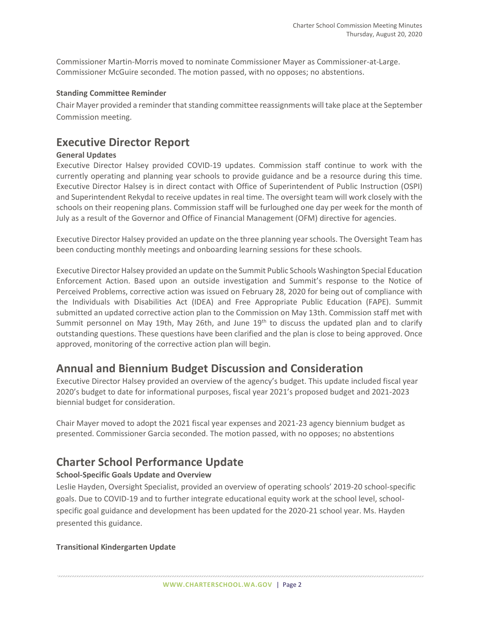Commissioner Martin-Morris moved to nominate Commissioner Mayer as Commissioner-at-Large. Commissioner McGuire seconded. The motion passed, with no opposes; no abstentions.

#### **Standing Committee Reminder**

Chair Mayer provided a reminder that standing committee reassignments will take place at the September Commission meeting.

## **Executive Director Report**

#### **General Updates**

Executive Director Halsey provided COVID-19 updates. Commission staff continue to work with the currently operating and planning year schools to provide guidance and be a resource during this time. Executive Director Halsey is in direct contact with Office of Superintendent of Public Instruction (OSPI) and Superintendent Rekydal to receive updates in real time. The oversight team will work closely with the schools on their reopening plans. Commission staff will be furloughed one day per week for the month of July as a result of the Governor and Office of Financial Management (OFM) directive for agencies.

Executive Director Halsey provided an update on the three planning year schools. The Oversight Team has been conducting monthly meetings and onboarding learning sessions for these schools.

Executive Director Halsey provided an update on the Summit Public Schools Washington Special Education Enforcement Action. Based upon an outside investigation and Summit's response to the Notice of Perceived Problems, corrective action was issued on February 28, 2020 for being out of compliance with the Individuals with Disabilities Act (IDEA) and Free Appropriate Public Education (FAPE). Summit submitted an updated corrective action plan to the Commission on May 13th. Commission staff met with Summit personnel on May 19th, May 26th, and June  $19<sup>th</sup>$  to discuss the updated plan and to clarify outstanding questions. These questions have been clarified and the plan is close to being approved. Once approved, monitoring of the corrective action plan will begin.

# **Annual and Biennium Budget Discussion and Consideration**

Executive Director Halsey provided an overview of the agency's budget. This update included fiscal year 2020's budget to date for informational purposes, fiscal year 2021's proposed budget and 2021-2023 biennial budget for consideration.

Chair Mayer moved to adopt the 2021 fiscal year expenses and 2021-23 agency biennium budget as presented. Commissioner Garcia seconded. The motion passed, with no opposes; no abstentions

# **Charter School Performance Update**

#### **School-Specific Goals Update and Overview**

Leslie Hayden, Oversight Specialist, provided an overview of operating schools' 2019-20 school-specific goals. Due to COVID-19 and to further integrate educational equity work at the school level, schoolspecific goal guidance and development has been updated for the 2020-21 school year. Ms. Hayden presented this guidance.

#### **Transitional Kindergarten Update**